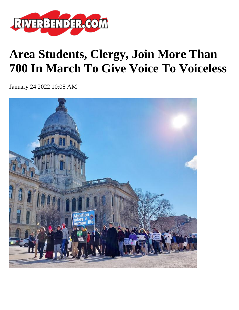

## **Area Students, Clergy, Join More Than 700 In March To Give Voice To Voiceless**

January 24 2022 10:05 AM

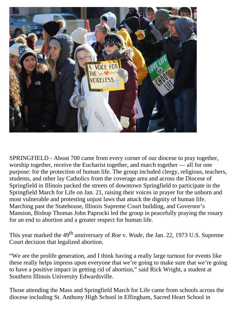

SPRINGFIELD - About 700 came from every corner of our diocese to pray together, worship together, receive the Eucharist together, and march together — all for one purpose: for the protection of human life. The group included clergy, religious, teachers, students, and other lay Catholics from the coverage area and across the Diocese of Springfield in Illinois packed the streets of downtown Springfield to participate in the Springfield March for Life on Jan. 21, raising their voices in prayer for the unborn and most vulnerable and protesting unjust laws that attack the dignity of human life. Marching past the Statehouse, Illinois Supreme Court building, and Governor's Mansion, Bishop Thomas John Paprocki led the group in peacefully praying the rosary for an end to abortion and a greater respect for human life.

This year marked the 49<sup>th</sup> anniversary of *Roe v. Wade*, the Jan. 22, 1973 U.S. Supreme Court decision that legalized abortion.

"We are the prolife generation, and I think having a really large turnout for events like these really helps impress upon everyone that we're going to make sure that we're going to have a positive impact in getting rid of abortion," said Rick Wright, a student at Southern Illinois University Edwardsville.

Those attending the Mass and Springfield March for Life came from schools across the diocese including St. Anthony High School in Effingham, Sacred Heart School in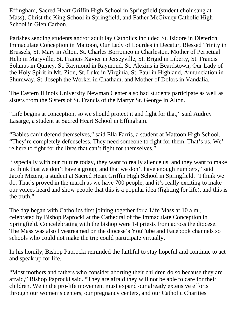Effingham, Sacred Heart Griffin High School in Springfield (student choir sang at Mass), Christ the King School in Springfield, and Father McGivney Catholic High School in Glen Carbon.

Parishes sending students and/or adult lay Catholics included St. Isidore in Dieterich, Immaculate Conception in Mattoon, Our Lady of Lourdes in Decatur, Blessed Trinity in Brussels, St. Mary in Alton, St. Charles Borromeo in Charleston, Mother of Perpetual Help in Maryville, St. Francis Xavier in Jerseyville, St. Brigid in Liberty, St. Francis Solanus in Quincy, St. Raymond in Raymond, St. Alexius in Beardstown, Our Lady of the Holy Spirit in Mt. Zion, St. Luke in Virginia, St. Paul in Highland, Annunciation in Shumway, St. Joseph the Worker in Chatham, and Mother of Dolors in Vandalia.

The Eastern Illinois University Newman Center also had students participate as well as sisters from the Sisters of St. Francis of the Martyr St. George in Alton.

"Life begins at conception, so we should protect it and fight for that," said Audrey Lasarge, a student at Sacred Heart School in Effingham.

"Babies can't defend themselves," said Ella Farris, a student at Mattoon High School. "They're completely defenseless. They need someone to fight for them. That's us. We' re here to fight for the lives that can't fight for themselves."

"Especially with our culture today, they want to really silence us, and they want to make us think that we don't have a group, and that we don't have enough numbers," said Jacob Mizera, a student at Sacred Heart Griffin High School in Springfield. "I think we do. That's proved in the march as we have 700 people, and it's really exciting to make our voices heard and show people that this is a popular idea (fighting for life), and this is the truth."

The day began with Catholics first joining together for a Life Mass at 10 a.m., celebrated by Bishop Paprocki at the Cathedral of the Immaculate Conception in Springfield. Concelebrating with the bishop were 14 priests from across the diocese. The Mass was also livestreamed on the diocese's YouTube and Facebook channels so schools who could not make the trip could participate virtually.

In his homily, Bishop Paprocki reminded the faithful to stay hopeful and continue to act and speak up for life.

"Most mothers and fathers who consider aborting their children do so because they are afraid," Bishop Paprocki said. "They are afraid they will not be able to care for their children. We in the pro-life movement must expand our already extensive efforts through our women's centers, our pregnancy centers, and our Catholic Charities